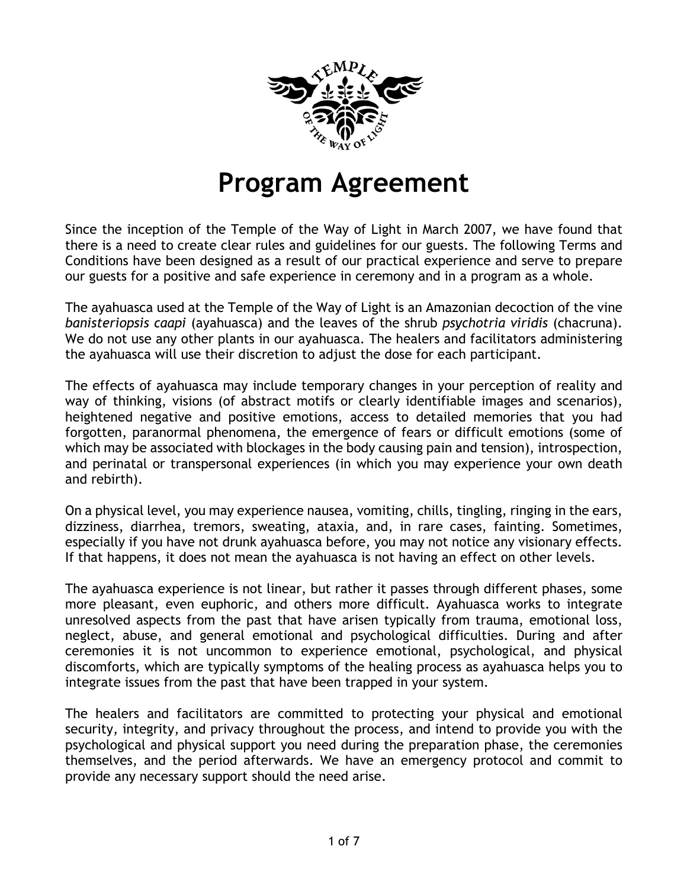

## **Program Agreement**

Since the inception of the Temple of the Way of Light in March 2007, we have found that there is a need to create clear rules and guidelines for our guests. The following Terms and Conditions have been designed as a result of our practical experience and serve to prepare our guests for a positive and safe experience in ceremony and in a program as a whole.

The ayahuasca used at the Temple of the Way of Light is an Amazonian decoction of the vine *banisteriopsis caapi* (ayahuasca) and the leaves of the shrub *psychotria viridis* (chacruna). We do not use any other plants in our ayahuasca. The healers and facilitators administering the ayahuasca will use their discretion to adjust the dose for each participant.

The effects of ayahuasca may include temporary changes in your perception of reality and way of thinking, visions (of abstract motifs or clearly identifiable images and scenarios), heightened negative and positive emotions, access to detailed memories that you had forgotten, paranormal phenomena, the emergence of fears or difficult emotions (some of which may be associated with blockages in the body causing pain and tension), introspection, and perinatal or transpersonal experiences (in which you may experience your own death and rebirth).

On a physical level, you may experience nausea, vomiting, chills, tingling, ringing in the ears, dizziness, diarrhea, tremors, sweating, ataxia, and, in rare cases, fainting. Sometimes, especially if you have not drunk ayahuasca before, you may not notice any visionary effects. If that happens, it does not mean the ayahuasca is not having an effect on other levels.

The ayahuasca experience is not linear, but rather it passes through different phases, some more pleasant, even euphoric, and others more difficult. Ayahuasca works to integrate unresolved aspects from the past that have arisen typically from trauma, emotional loss, neglect, abuse, and general emotional and psychological difficulties. During and after ceremonies it is not uncommon to experience emotional, psychological, and physical discomforts, which are typically symptoms of the healing process as ayahuasca helps you to integrate issues from the past that have been trapped in your system.

The healers and facilitators are committed to protecting your physical and emotional security, integrity, and privacy throughout the process, and intend to provide you with the psychological and physical support you need during the preparation phase, the ceremonies themselves, and the period afterwards. We have an emergency protocol and commit to provide any necessary support should the need arise.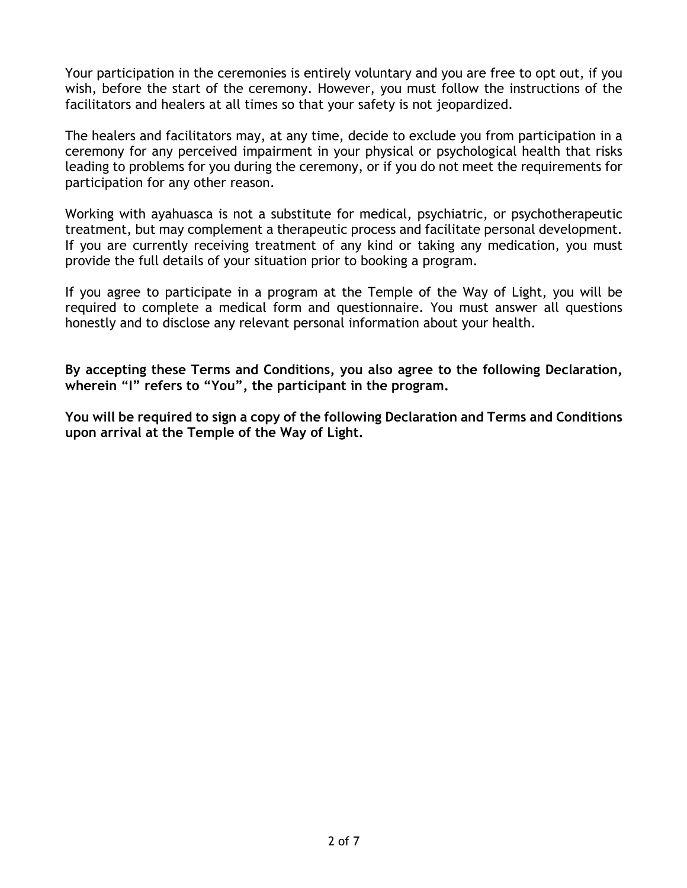Your participation in the ceremonies is entirely voluntary and you are free to opt out, if you wish, before the start of the ceremony. However, you must follow the instructions of the facilitators and healers at all times so that your safety is not jeopardized.

The healers and facilitators may, at any time, decide to exclude you from participation in a ceremony for any perceived impairment in your physical or psychological health that risks leading to problems for you during the ceremony, or if you do not meet the requirements for participation for any other reason.

Working with ayahuasca is not a substitute for medical, psychiatric, or psychotherapeutic treatment, but may complement a therapeutic process and facilitate personal development. If you are currently receiving treatment of any kind or taking any medication, you must provide the full details of your situation prior to booking a program.

If you agree to participate in a program at the Temple of the Way of Light, you will be required to complete a medical form and questionnaire. You must answer all questions honestly and to disclose any relevant personal information about your health.

**By accepting these Terms and Conditions, you also agree to the following Declaration, wherein "I" refers to "You", the participant in the program.**

**You will be required to sign a copy of the following Declaration and Terms and Conditions upon arrival at the Temple of the Way of Light.**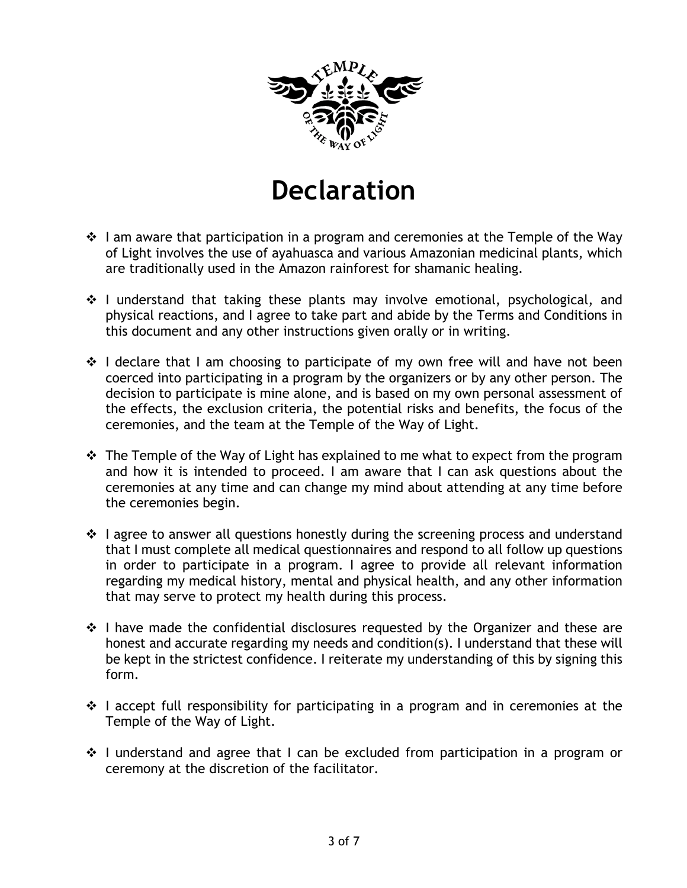

## **Declaration**

- $\cdot \cdot$  I am aware that participation in a program and ceremonies at the Temple of the Way of Light involves the use of ayahuasca and various Amazonian medicinal plants, which are traditionally used in the Amazon rainforest for shamanic healing.
- $\cdot$  I understand that taking these plants may involve emotional, psychological, and physical reactions, and I agree to take part and abide by the Terms and Conditions in this document and any other instructions given orally or in writing.
- $\cdot$  I declare that I am choosing to participate of my own free will and have not been coerced into participating in a program by the organizers or by any other person. The decision to participate is mine alone, and is based on my own personal assessment of the effects, the exclusion criteria, the potential risks and benefits, the focus of the ceremonies, and the team at the Temple of the Way of Light.
- $\cdot$  The Temple of the Way of Light has explained to me what to expect from the program and how it is intended to proceed. I am aware that I can ask questions about the ceremonies at any time and can change my mind about attending at any time before the ceremonies begin.
- $\cdot$  I agree to answer all questions honestly during the screening process and understand that I must complete all medical questionnaires and respond to all follow up questions in order to participate in a program. I agree to provide all relevant information regarding my medical history, mental and physical health, and any other information that may serve to protect my health during this process.
- $\cdot$  I have made the confidential disclosures requested by the Organizer and these are honest and accurate regarding my needs and condition(s). I understand that these will be kept in the strictest confidence. I reiterate my understanding of this by signing this form.
- $\div$  I accept full responsibility for participating in a program and in ceremonies at the Temple of the Way of Light.
- $\cdot$  I understand and agree that I can be excluded from participation in a program or ceremony at the discretion of the facilitator.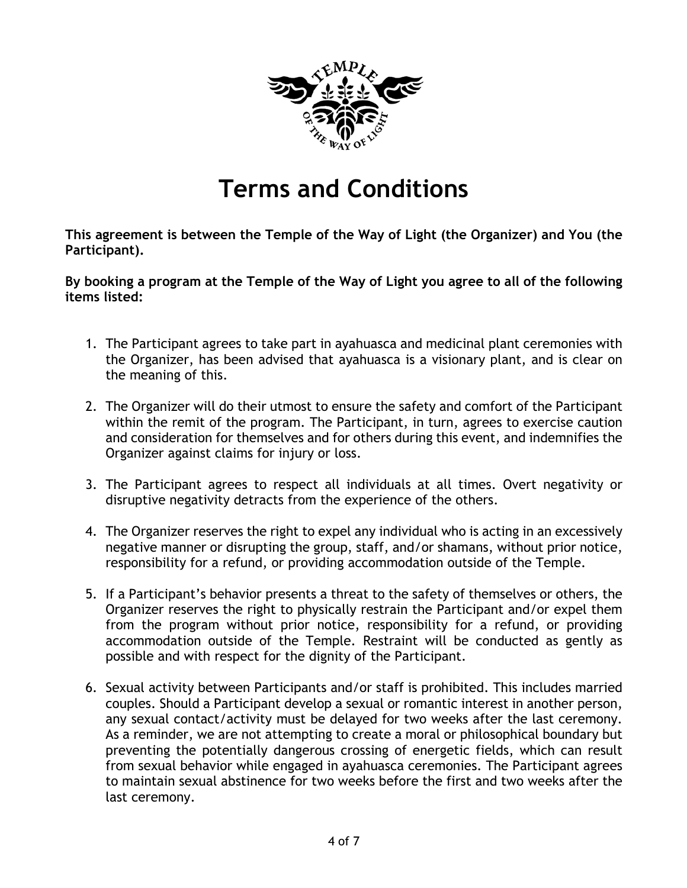

## **Terms and Conditions**

**This agreement is between the Temple of the Way of Light (the Organizer) and You (the Participant).**

**By booking a program at the Temple of the Way of Light you agree to all of the following items listed:**

- 1. The Participant agrees to take part in ayahuasca and medicinal plant ceremonies with the Organizer, has been advised that ayahuasca is a visionary plant, and is clear on the meaning of this.
- 2. The Organizer will do their utmost to ensure the safety and comfort of the Participant within the remit of the program. The Participant, in turn, agrees to exercise caution and consideration for themselves and for others during this event, and indemnifies the Organizer against claims for injury or loss.
- 3. The Participant agrees to respect all individuals at all times. Overt negativity or disruptive negativity detracts from the experience of the others.
- 4. The Organizer reserves the right to expel any individual who is acting in an excessively negative manner or disrupting the group, staff, and/or shamans, without prior notice, responsibility for a refund, or providing accommodation outside of the Temple.
- 5. If a Participant's behavior presents a threat to the safety of themselves or others, the Organizer reserves the right to physically restrain the Participant and/or expel them from the program without prior notice, responsibility for a refund, or providing accommodation outside of the Temple. Restraint will be conducted as gently as possible and with respect for the dignity of the Participant.
- 6. Sexual activity between Participants and/or staff is prohibited. This includes married couples. Should a Participant develop a sexual or romantic interest in another person, any sexual contact/activity must be delayed for two weeks after the last ceremony. As a reminder, we are not attempting to create a moral or philosophical boundary but preventing the potentially dangerous crossing of energetic fields, which can result from sexual behavior while engaged in ayahuasca ceremonies. The Participant agrees to maintain sexual abstinence for two weeks before the first and two weeks after the last ceremony.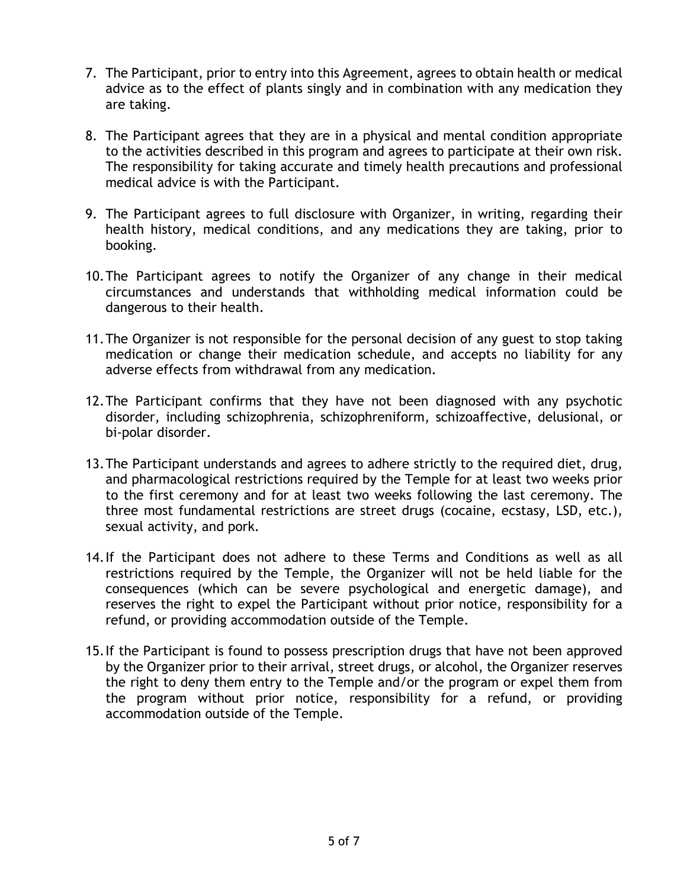- 7. The Participant, prior to entry into this Agreement, agrees to obtain health or medical advice as to the effect of plants singly and in combination with any medication they are taking.
- 8. The Participant agrees that they are in a physical and mental condition appropriate to the activities described in this program and agrees to participate at their own risk. The responsibility for taking accurate and timely health precautions and professional medical advice is with the Participant.
- 9. The Participant agrees to full disclosure with Organizer, in writing, regarding their health history, medical conditions, and any medications they are taking, prior to booking.
- 10.The Participant agrees to notify the Organizer of any change in their medical circumstances and understands that withholding medical information could be dangerous to their health.
- 11.The Organizer is not responsible for the personal decision of any guest to stop taking medication or change their medication schedule, and accepts no liability for any adverse effects from withdrawal from any medication.
- 12.The Participant confirms that they have not been diagnosed with any psychotic disorder, including schizophrenia, schizophreniform, schizoaffective, delusional, or bi-polar disorder.
- 13.The Participant understands and agrees to adhere strictly to the required diet, drug, and pharmacological restrictions required by the Temple for at least two weeks prior to the first ceremony and for at least two weeks following the last ceremony. The three most fundamental restrictions are street drugs (cocaine, ecstasy, LSD, etc.), sexual activity, and pork.
- 14.If the Participant does not adhere to these Terms and Conditions as well as all restrictions required by the Temple, the Organizer will not be held liable for the consequences (which can be severe psychological and energetic damage), and reserves the right to expel the Participant without prior notice, responsibility for a refund, or providing accommodation outside of the Temple.
- 15.If the Participant is found to possess prescription drugs that have not been approved by the Organizer prior to their arrival, street drugs, or alcohol, the Organizer reserves the right to deny them entry to the Temple and/or the program or expel them from the program without prior notice, responsibility for a refund, or providing accommodation outside of the Temple.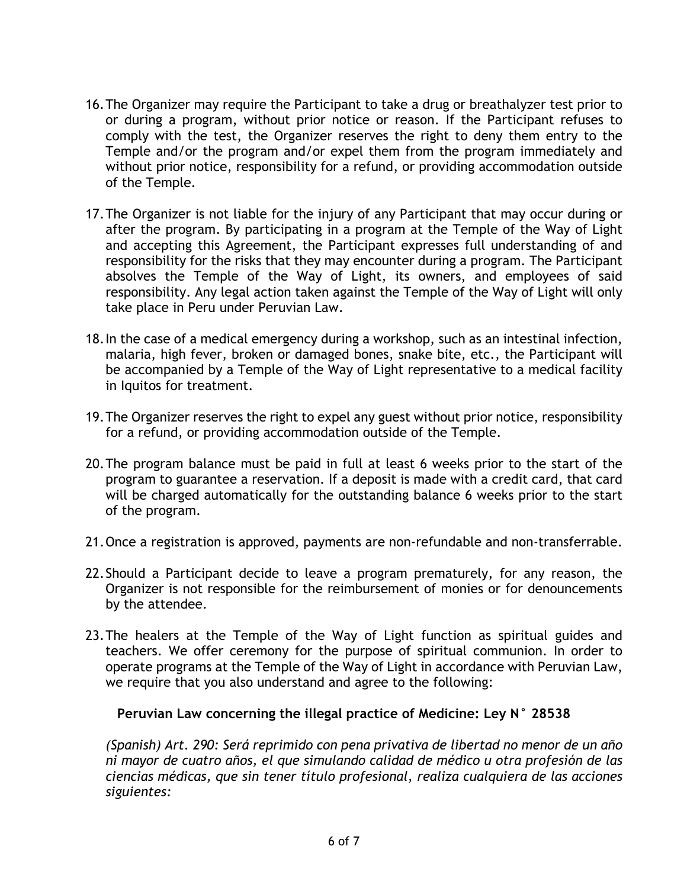- 16.The Organizer may require the Participant to take a drug or breathalyzer test prior to or during a program, without prior notice or reason. If the Participant refuses to comply with the test, the Organizer reserves the right to deny them entry to the Temple and/or the program and/or expel them from the program immediately and without prior notice, responsibility for a refund, or providing accommodation outside of the Temple.
- 17.The Organizer is not liable for the injury of any Participant that may occur during or after the program. By participating in a program at the Temple of the Way of Light and accepting this Agreement, the Participant expresses full understanding of and responsibility for the risks that they may encounter during a program. The Participant absolves the Temple of the Way of Light, its owners, and employees of said responsibility. Any legal action taken against the Temple of the Way of Light will only take place in Peru under Peruvian Law.
- 18.In the case of a medical emergency during a workshop, such as an intestinal infection, malaria, high fever, broken or damaged bones, snake bite, etc., the Participant will be accompanied by a Temple of the Way of Light representative to a medical facility in Iquitos for treatment.
- 19.The Organizer reserves the right to expel any guest without prior notice, responsibility for a refund, or providing accommodation outside of the Temple.
- 20.The program balance must be paid in full at least 6 weeks prior to the start of the program to guarantee a reservation. If a deposit is made with a credit card, that card will be charged automatically for the outstanding balance 6 weeks prior to the start of the program.
- 21.Once a registration is approved, payments are non-refundable and non-transferrable.
- 22.Should a Participant decide to leave a program prematurely, for any reason, the Organizer is not responsible for the reimbursement of monies or for denouncements by the attendee.
- 23.The healers at the Temple of the Way of Light function as spiritual guides and teachers. We offer ceremony for the purpose of spiritual communion. In order to operate programs at the Temple of the Way of Light in accordance with Peruvian Law, we require that you also understand and agree to the following:

## **Peruvian Law concerning the illegal practice of Medicine: Ley N° 28538**

*(Spanish) Art. 290: Será reprimido con pena privativa de libertad no menor de un año ni mayor de cuatro años, el que simulando calidad de médico u otra profesión de las ciencias médicas, que sin tener título profesional, realiza cualquiera de las acciones siguientes:*